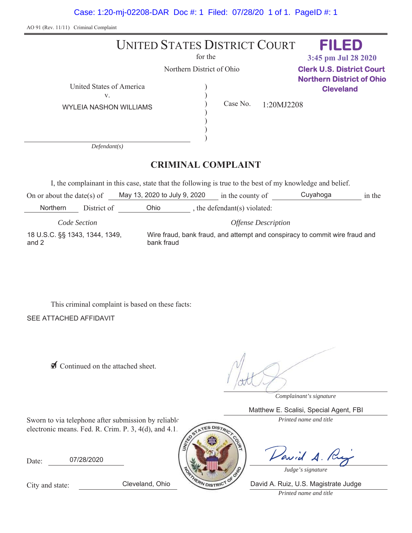Case: 1:20-mj-02208-DAR Doc #: 1 Filed: 07/28/20 1 of 1. PageID #: 1

AO 91 (Rev. 11/11) Criminal Complaint

#### UNITED STATES DISTRICT COURT for the Northern District of Ohio United States of America  $\mathcal{E}$  $\mathcal{E}$  $\mathcal{E}$  $\mathcal{E}$  $\mathcal{E}$  $\mathcal{E}$  $V<sub>r</sub>$ Case No. *Defendant(s)* **CRIMINAL COMPLAINT** WYLEIA NASHON WILLIAMS 1:20MJ2208 **FILED Clerk U.S. District Court Northern District of Ohio Cleveland 3:45 pm Jul 28 2020**

I, the complainant in this case, state that the following is true to the best of my knowledge and belief.

On or about the date(s) of May 13, 2020 to July 9, 2020 in the county of Cuyahoga in the Ohio  $\qquad \qquad$ , the defendant(s) violated: *Code Section Offense Description* Northern District of 18 U.S.C. §§ 1343, 1344, 1349, and 2 Wire fraud, bank fraud, and attempt and conspiracy to commit wire fraud and bank fraud

This criminal complaint is based on these facts:

SEE ATTACHED AFFIDAVIT

**Ø** Continued on the attached sheet.

*Complainant's signature*

Matthew E. Scalisi, Special Agent, FBI

Sworn to via telephone after submission by reliable *Printed name and title* electronic means. Fed. R. Crim. P. 3, 4(d), and 4.1.

Date: 07/28/2020



Vavid A.R

*Judge's signature*

City and state:

*Printed name and title*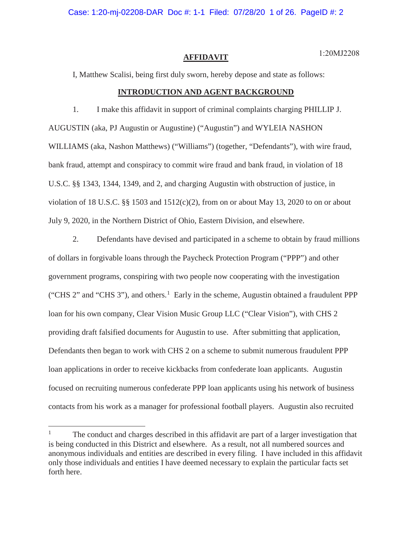Case: 1:20-mj-02208-DAR Doc #: 1-1 Filed: 07/28/20 1 of 26. PageID #: 2

#### **AFFIDAVIT**

1:20MJ2208

I, Matthew Scalisi, being first duly sworn, hereby depose and state as follows:

## **INTRODUCTION AND AGENT BACKGROUND**

1. I make this affidavit in support of criminal complaints charging PHILLIP J. AUGUSTIN (aka, PJ Augustin or Augustine) ("Augustin") and WYLEIA NASHON WILLIAMS (aka, Nashon Matthews) ("Williams") (together, "Defendants"), with wire fraud, bank fraud, attempt and conspiracy to commit wire fraud and bank fraud, in violation of 18 U.S.C. §§ 1343, 1344, 1349, and 2, and charging Augustin with obstruction of justice, in violation of 18 U.S.C. §§ 1503 and  $1512(c)(2)$ , from on or about May 13, 2020 to on or about July 9, 2020, in the Northern District of Ohio, Eastern Division, and elsewhere.

2. Defendants have devised and participated in a scheme to obtain by fraud millions of dollars in forgivable loans through the Paycheck Protection Program ("PPP") and other government programs, conspiring with two people now cooperating with the investigation ("CHS 2" and "CHS 3"), and others.<sup>1</sup> Early in the scheme, Augustin obtained a fraudulent PPP loan for his own company, Clear Vision Music Group LLC ("Clear Vision"), with CHS 2 providing draft falsified documents for Augustin to use. After submitting that application, Defendants then began to work with CHS 2 on a scheme to submit numerous fraudulent PPP loan applications in order to receive kickbacks from confederate loan applicants. Augustin focused on recruiting numerous confederate PPP loan applicants using his network of business contacts from his work as a manager for professional football players. Augustin also recruited

<sup>&</sup>lt;sup>1</sup> The conduct and charges described in this affidavit are part of a larger investigation that is being conducted in this District and elsewhere. As a result, not all numbered sources and anonymous individuals and entities are described in every filing. I have included in this affidavit only those individuals and entities I have deemed necessary to explain the particular facts set forth here.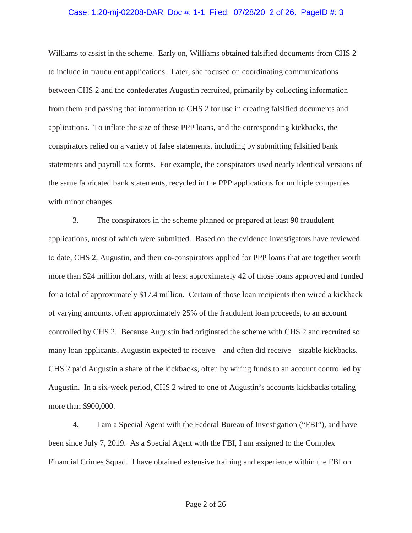#### Case: 1:20-mj-02208-DAR Doc #: 1-1 Filed: 07/28/20 2 of 26. PageID #: 3

Williams to assist in the scheme. Early on, Williams obtained falsified documents from CHS 2 to include in fraudulent applications. Later, she focused on coordinating communications between CHS 2 and the confederates Augustin recruited, primarily by collecting information from them and passing that information to CHS 2 for use in creating falsified documents and applications. To inflate the size of these PPP loans, and the corresponding kickbacks, the conspirators relied on a variety of false statements, including by submitting falsified bank statements and payroll tax forms. For example, the conspirators used nearly identical versions of the same fabricated bank statements, recycled in the PPP applications for multiple companies with minor changes.

3. The conspirators in the scheme planned or prepared at least 90 fraudulent applications, most of which were submitted. Based on the evidence investigators have reviewed to date, CHS 2, Augustin, and their co-conspirators applied for PPP loans that are together worth more than \$24 million dollars, with at least approximately 42 of those loans approved and funded for a total of approximately \$17.4 million. Certain of those loan recipients then wired a kickback of varying amounts, often approximately 25% of the fraudulent loan proceeds, to an account controlled by CHS 2. Because Augustin had originated the scheme with CHS 2 and recruited so many loan applicants, Augustin expected to receive—and often did receive—sizable kickbacks. CHS 2 paid Augustin a share of the kickbacks, often by wiring funds to an account controlled by Augustin. In a six-week period, CHS 2 wired to one of Augustin's accounts kickbacks totaling more than \$900,000.

4. I am a Special Agent with the Federal Bureau of Investigation ("FBI"), and have been since July 7, 2019. As a Special Agent with the FBI, I am assigned to the Complex Financial Crimes Squad. I have obtained extensive training and experience within the FBI on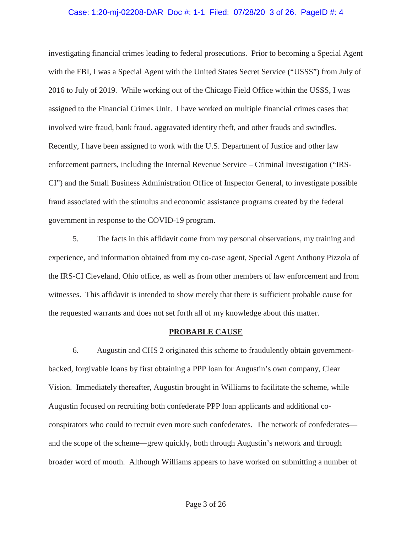#### Case: 1:20-mj-02208-DAR Doc #: 1-1 Filed: 07/28/20 3 of 26. PageID #: 4

investigating financial crimes leading to federal prosecutions. Prior to becoming a Special Agent with the FBI, I was a Special Agent with the United States Secret Service ("USSS") from July of 2016 to July of 2019. While working out of the Chicago Field Office within the USSS, I was assigned to the Financial Crimes Unit. I have worked on multiple financial crimes cases that involved wire fraud, bank fraud, aggravated identity theft, and other frauds and swindles. Recently, I have been assigned to work with the U.S. Department of Justice and other law enforcement partners, including the Internal Revenue Service – Criminal Investigation ("IRS-CI") and the Small Business Administration Office of Inspector General, to investigate possible fraud associated with the stimulus and economic assistance programs created by the federal government in response to the COVID-19 program.

5. The facts in this affidavit come from my personal observations, my training and experience, and information obtained from my co-case agent, Special Agent Anthony Pizzola of the IRS-CI Cleveland, Ohio office, as well as from other members of law enforcement and from witnesses. This affidavit is intended to show merely that there is sufficient probable cause for the requested warrants and does not set forth all of my knowledge about this matter.

#### **PROBABLE CAUSE**

6. Augustin and CHS 2 originated this scheme to fraudulently obtain governmentbacked, forgivable loans by first obtaining a PPP loan for Augustin's own company, Clear Vision. Immediately thereafter, Augustin brought in Williams to facilitate the scheme, while Augustin focused on recruiting both confederate PPP loan applicants and additional coconspirators who could to recruit even more such confederates. The network of confederates and the scope of the scheme—grew quickly, both through Augustin's network and through broader word of mouth. Although Williams appears to have worked on submitting a number of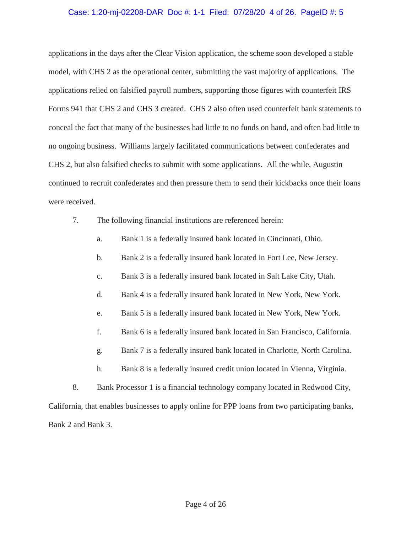## Case: 1:20-mj-02208-DAR Doc #: 1-1 Filed: 07/28/20 4 of 26. PageID #: 5

applications in the days after the Clear Vision application, the scheme soon developed a stable model, with CHS 2 as the operational center, submitting the vast majority of applications. The applications relied on falsified payroll numbers, supporting those figures with counterfeit IRS Forms 941 that CHS 2 and CHS 3 created. CHS 2 also often used counterfeit bank statements to conceal the fact that many of the businesses had little to no funds on hand, and often had little to no ongoing business. Williams largely facilitated communications between confederates and CHS 2, but also falsified checks to submit with some applications. All the while, Augustin continued to recruit confederates and then pressure them to send their kickbacks once their loans were received.

- 7. The following financial institutions are referenced herein:
	- a. Bank 1 is a federally insured bank located in Cincinnati, Ohio.
	- b. Bank 2 is a federally insured bank located in Fort Lee, New Jersey.
	- c. Bank 3 is a federally insured bank located in Salt Lake City, Utah.
	- d. Bank 4 is a federally insured bank located in New York, New York.
	- e. Bank 5 is a federally insured bank located in New York, New York.
	- f. Bank 6 is a federally insured bank located in San Francisco, California.
	- g. Bank 7 is a federally insured bank located in Charlotte, North Carolina.
	- h. Bank 8 is a federally insured credit union located in Vienna, Virginia.
- 8. Bank Processor 1 is a financial technology company located in Redwood City,

California, that enables businesses to apply online for PPP loans from two participating banks, Bank 2 and Bank 3.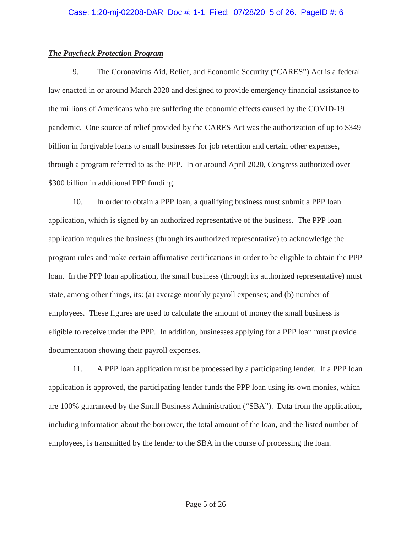## *The Paycheck Protection Program*

9. The Coronavirus Aid, Relief, and Economic Security ("CARES") Act is a federal law enacted in or around March 2020 and designed to provide emergency financial assistance to the millions of Americans who are suffering the economic effects caused by the COVID-19 pandemic. One source of relief provided by the CARES Act was the authorization of up to \$349 billion in forgivable loans to small businesses for job retention and certain other expenses, through a program referred to as the PPP. In or around April 2020, Congress authorized over \$300 billion in additional PPP funding.

10. In order to obtain a PPP loan, a qualifying business must submit a PPP loan application, which is signed by an authorized representative of the business. The PPP loan application requires the business (through its authorized representative) to acknowledge the program rules and make certain affirmative certifications in order to be eligible to obtain the PPP loan. In the PPP loan application, the small business (through its authorized representative) must state, among other things, its: (a) average monthly payroll expenses; and (b) number of employees. These figures are used to calculate the amount of money the small business is eligible to receive under the PPP. In addition, businesses applying for a PPP loan must provide documentation showing their payroll expenses.

11. A PPP loan application must be processed by a participating lender. If a PPP loan application is approved, the participating lender funds the PPP loan using its own monies, which are 100% guaranteed by the Small Business Administration ("SBA"). Data from the application, including information about the borrower, the total amount of the loan, and the listed number of employees, is transmitted by the lender to the SBA in the course of processing the loan.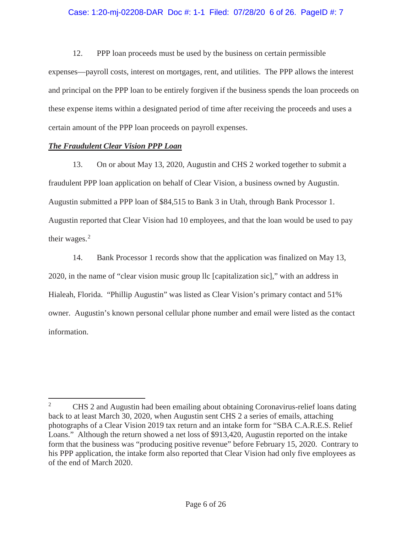## Case: 1:20-mj-02208-DAR Doc #: 1-1 Filed: 07/28/20 6 of 26. PageID #: 7

12. PPP loan proceeds must be used by the business on certain permissible expenses—payroll costs, interest on mortgages, rent, and utilities. The PPP allows the interest and principal on the PPP loan to be entirely forgiven if the business spends the loan proceeds on these expense items within a designated period of time after receiving the proceeds and uses a certain amount of the PPP loan proceeds on payroll expenses.

## *The Fraudulent Clear Vision PPP Loan*

13. On or about May 13, 2020, Augustin and CHS 2 worked together to submit a fraudulent PPP loan application on behalf of Clear Vision, a business owned by Augustin. Augustin submitted a PPP loan of \$84,515 to Bank 3 in Utah, through Bank Processor 1. Augustin reported that Clear Vision had 10 employees, and that the loan would be used to pay their wages.<sup>2</sup>

14. Bank Processor 1 records show that the application was finalized on May 13, 2020, in the name of "clear vision music group llc [capitalization sic]," with an address in Hialeah, Florida. "Phillip Augustin" was listed as Clear Vision's primary contact and 51% owner. Augustin's known personal cellular phone number and email were listed as the contact information.

<sup>&</sup>lt;sup>2</sup> CHS 2 and Augustin had been emailing about obtaining Coronavirus-relief loans dating back to at least March 30, 2020, when Augustin sent CHS 2 a series of emails, attaching photographs of a Clear Vision 2019 tax return and an intake form for "SBA C.A.R.E.S. Relief Loans." Although the return showed a net loss of \$913,420, Augustin reported on the intake form that the business was "producing positive revenue" before February 15, 2020. Contrary to his PPP application, the intake form also reported that Clear Vision had only five employees as of the end of March 2020.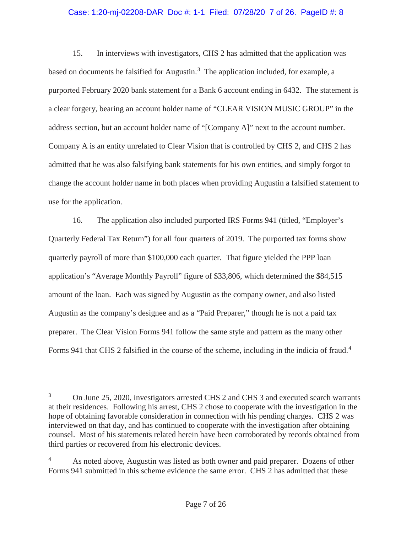## Case: 1:20-mj-02208-DAR Doc #: 1-1 Filed: 07/28/20 7 of 26. PageID #: 8

15. In interviews with investigators, CHS 2 has admitted that the application was based on documents he falsified for Augustin.<sup>3</sup> The application included, for example, a purported February 2020 bank statement for a Bank 6 account ending in 6432. The statement is a clear forgery, bearing an account holder name of "CLEAR VISION MUSIC GROUP" in the address section, but an account holder name of "[Company A]" next to the account number. Company A is an entity unrelated to Clear Vision that is controlled by CHS 2, and CHS 2 has admitted that he was also falsifying bank statements for his own entities, and simply forgot to change the account holder name in both places when providing Augustin a falsified statement to use for the application.

16. The application also included purported IRS Forms 941 (titled, "Employer's Quarterly Federal Tax Return") for all four quarters of 2019. The purported tax forms show quarterly payroll of more than \$100,000 each quarter. That figure yielded the PPP loan application's "Average Monthly Payroll" figure of \$33,806, which determined the \$84,515 amount of the loan. Each was signed by Augustin as the company owner, and also listed Augustin as the company's designee and as a "Paid Preparer," though he is not a paid tax preparer. The Clear Vision Forms 941 follow the same style and pattern as the many other Forms 941 that CHS 2 falsified in the course of the scheme, including in the indicia of fraud.<sup>4</sup>

<sup>&</sup>lt;sup>3</sup> On June 25, 2020, investigators arrested CHS 2 and CHS 3 and executed search warrants at their residences. Following his arrest, CHS 2 chose to cooperate with the investigation in the hope of obtaining favorable consideration in connection with his pending charges. CHS 2 was interviewed on that day, and has continued to cooperate with the investigation after obtaining counsel. Most of his statements related herein have been corroborated by records obtained from third parties or recovered from his electronic devices.

<sup>&</sup>lt;sup>4</sup> As noted above, Augustin was listed as both owner and paid preparer. Dozens of other Forms 941 submitted in this scheme evidence the same error. CHS 2 has admitted that these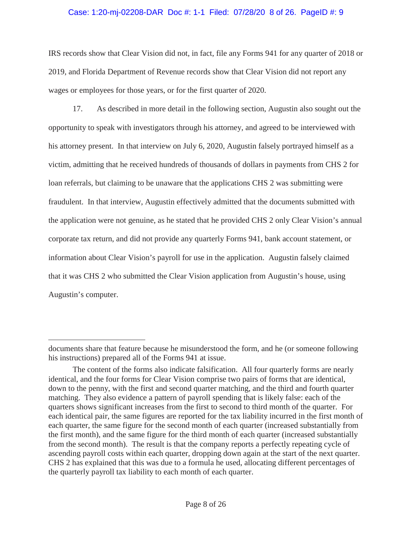## Case: 1:20-mj-02208-DAR Doc #: 1-1 Filed: 07/28/20 8 of 26. PageID #: 9

IRS records show that Clear Vision did not, in fact, file any Forms 941 for any quarter of 2018 or 2019, and Florida Department of Revenue records show that Clear Vision did not report any wages or employees for those years, or for the first quarter of 2020.

17. As described in more detail in the following section, Augustin also sought out the opportunity to speak with investigators through his attorney, and agreed to be interviewed with his attorney present. In that interview on July 6, 2020, Augustin falsely portrayed himself as a victim, admitting that he received hundreds of thousands of dollars in payments from CHS 2 for loan referrals, but claiming to be unaware that the applications CHS 2 was submitting were fraudulent. In that interview, Augustin effectively admitted that the documents submitted with the application were not genuine, as he stated that he provided CHS 2 only Clear Vision's annual corporate tax return, and did not provide any quarterly Forms 941, bank account statement, or information about Clear Vision's payroll for use in the application. Augustin falsely claimed that it was CHS 2 who submitted the Clear Vision application from Augustin's house, using Augustin's computer.

documents share that feature because he misunderstood the form, and he (or someone following his instructions) prepared all of the Forms 941 at issue.

The content of the forms also indicate falsification. All four quarterly forms are nearly identical, and the four forms for Clear Vision comprise two pairs of forms that are identical, down to the penny, with the first and second quarter matching, and the third and fourth quarter matching. They also evidence a pattern of payroll spending that is likely false: each of the quarters shows significant increases from the first to second to third month of the quarter. For each identical pair, the same figures are reported for the tax liability incurred in the first month of each quarter, the same figure for the second month of each quarter (increased substantially from the first month), and the same figure for the third month of each quarter (increased substantially from the second month). The result is that the company reports a perfectly repeating cycle of ascending payroll costs within each quarter, dropping down again at the start of the next quarter. CHS 2 has explained that this was due to a formula he used, allocating different percentages of the quarterly payroll tax liability to each month of each quarter.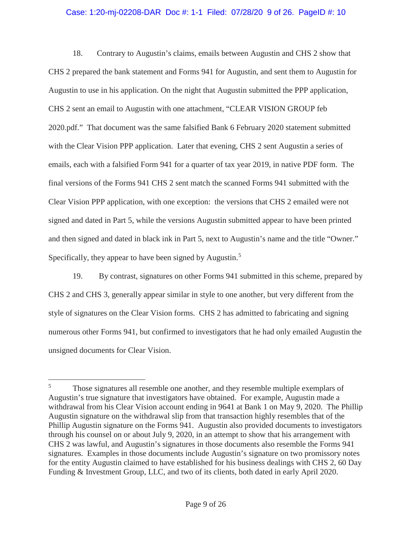## Case: 1:20-mj-02208-DAR Doc #: 1-1 Filed: 07/28/20 9 of 26. PageID #: 10

18. Contrary to Augustin's claims, emails between Augustin and CHS 2 show that CHS 2 prepared the bank statement and Forms 941 for Augustin, and sent them to Augustin for Augustin to use in his application. On the night that Augustin submitted the PPP application, CHS 2 sent an email to Augustin with one attachment, "CLEAR VISION GROUP feb 2020.pdf." That document was the same falsified Bank 6 February 2020 statement submitted with the Clear Vision PPP application. Later that evening, CHS 2 sent Augustin a series of emails, each with a falsified Form 941 for a quarter of tax year 2019, in native PDF form. The final versions of the Forms 941 CHS 2 sent match the scanned Forms 941 submitted with the Clear Vision PPP application, with one exception: the versions that CHS 2 emailed were not signed and dated in Part 5, while the versions Augustin submitted appear to have been printed and then signed and dated in black ink in Part 5, next to Augustin's name and the title "Owner." Specifically, they appear to have been signed by Augustin.<sup>5</sup>

19. By contrast, signatures on other Forms 941 submitted in this scheme, prepared by CHS 2 and CHS 3, generally appear similar in style to one another, but very different from the style of signatures on the Clear Vision forms. CHS 2 has admitted to fabricating and signing numerous other Forms 941, but confirmed to investigators that he had only emailed Augustin the unsigned documents for Clear Vision.

<sup>&</sup>lt;sup>5</sup> Those signatures all resemble one another, and they resemble multiple exemplars of Augustin's true signature that investigators have obtained. For example, Augustin made a withdrawal from his Clear Vision account ending in 9641 at Bank 1 on May 9, 2020. The Phillip Augustin signature on the withdrawal slip from that transaction highly resembles that of the Phillip Augustin signature on the Forms 941. Augustin also provided documents to investigators through his counsel on or about July 9, 2020, in an attempt to show that his arrangement with CHS 2 was lawful, and Augustin's signatures in those documents also resemble the Forms 941 signatures. Examples in those documents include Augustin's signature on two promissory notes for the entity Augustin claimed to have established for his business dealings with CHS 2, 60 Day Funding & Investment Group, LLC, and two of its clients, both dated in early April 2020.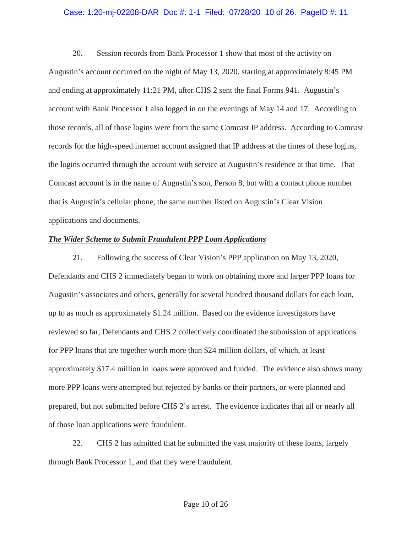## Case: 1:20-mj-02208-DAR Doc #: 1-1 Filed: 07/28/20 10 of 26. PageID #: 11

20. Session records from Bank Processor 1 show that most of the activity on Augustin's account occurred on the night of May 13, 2020, starting at approximately 8:45 PM and ending at approximately 11:21 PM, after CHS 2 sent the final Forms 941. Augustin's account with Bank Processor 1 also logged in on the evenings of May 14 and 17. According to those records, all of those logins were from the same Comcast IP address. According to Comcast records for the high-speed internet account assigned that IP address at the times of these logins, the logins occurred through the account with service at Augustin's residence at that time. That Comcast account is in the name of Augustin's son, Person 8, but with a contact phone number that is Augustin's cellular phone, the same number listed on Augustin's Clear Vision applications and documents.

## *The Wider Scheme to Submit Fraudulent PPP Loan Applications*

21. Following the success of Clear Vision's PPP application on May 13, 2020, Defendants and CHS 2 immediately began to work on obtaining more and larger PPP loans for Augustin's associates and others, generally for several hundred thousand dollars for each loan, up to as much as approximately \$1.24 million. Based on the evidence investigators have reviewed so far, Defendants and CHS 2 collectively coordinated the submission of applications for PPP loans that are together worth more than \$24 million dollars, of which, at least approximately \$17.4 million in loans were approved and funded. The evidence also shows many more PPP loans were attempted but rejected by banks or their partners, or were planned and prepared, but not submitted before CHS 2's arrest. The evidence indicates that all or nearly all of those loan applications were fraudulent.

22. CHS 2 has admitted that he submitted the vast majority of these loans, largely through Bank Processor 1, and that they were fraudulent.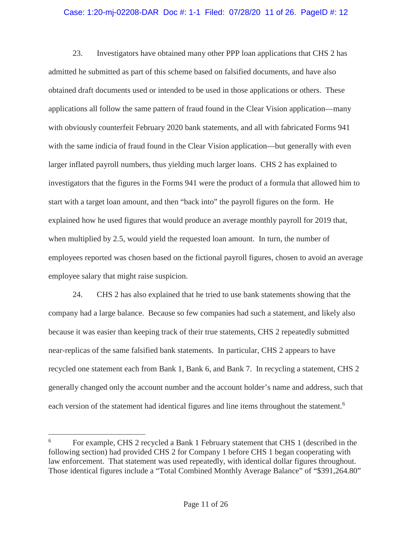## Case: 1:20-mj-02208-DAR Doc #: 1-1 Filed: 07/28/20 11 of 26. PageID #: 12

23. Investigators have obtained many other PPP loan applications that CHS 2 has admitted he submitted as part of this scheme based on falsified documents, and have also obtained draft documents used or intended to be used in those applications or others. These applications all follow the same pattern of fraud found in the Clear Vision application—many with obviously counterfeit February 2020 bank statements, and all with fabricated Forms 941 with the same indicia of fraud found in the Clear Vision application—but generally with even larger inflated payroll numbers, thus yielding much larger loans. CHS 2 has explained to investigators that the figures in the Forms 941 were the product of a formula that allowed him to start with a target loan amount, and then "back into" the payroll figures on the form. He explained how he used figures that would produce an average monthly payroll for 2019 that, when multiplied by 2.5, would yield the requested loan amount. In turn, the number of employees reported was chosen based on the fictional payroll figures, chosen to avoid an average employee salary that might raise suspicion.

24. CHS 2 has also explained that he tried to use bank statements showing that the company had a large balance. Because so few companies had such a statement, and likely also because it was easier than keeping track of their true statements, CHS 2 repeatedly submitted near-replicas of the same falsified bank statements. In particular, CHS 2 appears to have recycled one statement each from Bank 1, Bank 6, and Bank 7. In recycling a statement, CHS 2 generally changed only the account number and the account holder's name and address, such that each version of the statement had identical figures and line items throughout the statement.<sup>6</sup>

<sup>6</sup> For example, CHS 2 recycled a Bank 1 February statement that CHS 1 (described in the following section) had provided CHS 2 for Company 1 before CHS 1 began cooperating with law enforcement. That statement was used repeatedly, with identical dollar figures throughout. Those identical figures include a "Total Combined Monthly Average Balance" of "\$391,264.80"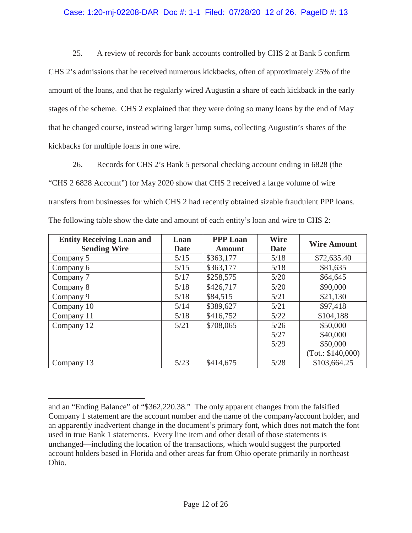# Case: 1:20-mj-02208-DAR Doc #: 1-1 Filed: 07/28/20 12 of 26. PageID #: 13

25. A review of records for bank accounts controlled by CHS 2 at Bank 5 confirm CHS 2's admissions that he received numerous kickbacks, often of approximately 25% of the amount of the loans, and that he regularly wired Augustin a share of each kickback in the early stages of the scheme. CHS 2 explained that they were doing so many loans by the end of May that he changed course, instead wiring larger lump sums, collecting Augustin's shares of the kickbacks for multiple loans in one wire.

26. Records for CHS 2's Bank 5 personal checking account ending in 6828 (the "CHS 2 6828 Account") for May 2020 show that CHS 2 received a large volume of wire transfers from businesses for which CHS 2 had recently obtained sizable fraudulent PPP loans. The following table show the date and amount of each entity's loan and wire to CHS 2:

| <b>Entity Receiving Loan and</b><br><b>Sending Wire</b> | Loan<br><b>Date</b> | <b>PPP Loan</b><br><b>Amount</b> | <b>Wire</b><br>Date | <b>Wire Amount</b> |
|---------------------------------------------------------|---------------------|----------------------------------|---------------------|--------------------|
| Company 5                                               | 5/15                | \$363,177                        | 5/18                | \$72,635.40        |
| Company 6                                               | 5/15                | \$363,177                        | 5/18                | \$81,635           |
| Company 7                                               | 5/17                | \$258,575                        | 5/20                | \$64,645           |
| Company 8                                               | 5/18                | \$426,717                        | 5/20                | \$90,000           |
| Company 9                                               | 5/18                | \$84,515                         | 5/21                | \$21,130           |
| Company 10                                              | 5/14                | \$389,627                        | 5/21                | \$97,418           |
| Company 11                                              | 5/18                | \$416,752                        | 5/22                | \$104,188          |
| Company 12                                              | 5/21                | \$708,065                        | 5/26                | \$50,000           |
|                                                         |                     |                                  | 5/27                | \$40,000           |
|                                                         |                     |                                  | 5/29                | \$50,000           |
|                                                         |                     |                                  |                     | (Tot.: \$140,000)  |
| Company 13                                              | 5/23                | \$414,675                        | 5/28                | \$103,664.25       |

and an "Ending Balance" of "\$362,220.38." The only apparent changes from the falsified Company 1 statement are the account number and the name of the company/account holder, and an apparently inadvertent change in the document's primary font, which does not match the font used in true Bank 1 statements. Every line item and other detail of those statements is unchanged—including the location of the transactions, which would suggest the purported account holders based in Florida and other areas far from Ohio operate primarily in northeast Ohio.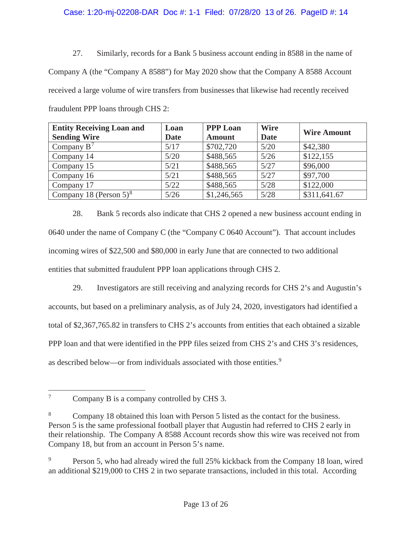# Case: 1:20-mj-02208-DAR Doc #: 1-1 Filed: 07/28/20 13 of 26. PageID #: 14

27. Similarly, records for a Bank 5 business account ending in 8588 in the name of Company A (the "Company A 8588") for May 2020 show that the Company A 8588 Account received a large volume of wire transfers from businesses that likewise had recently received fraudulent PPP loans through CHS 2:

| <b>Entity Receiving Loan and</b><br><b>Sending Wire</b> | Loan<br><b>Date</b> | <b>PPP Loan</b><br><b>Amount</b> | <b>Wire</b><br><b>Date</b> | <b>Wire Amount</b> |
|---------------------------------------------------------|---------------------|----------------------------------|----------------------------|--------------------|
| Company $B^7$                                           | 5/17                | \$702,720                        | 5/20                       | \$42,380           |
| Company 14                                              | 5/20                | \$488,565                        | 5/26                       | \$122,155          |
| Company 15                                              | 5/21                | \$488,565                        | 5/27                       | \$96,000           |
| Company 16                                              | 5/21                | \$488,565                        | 5/27                       | \$97,700           |
| Company 17                                              | 5/22                | \$488,565                        | 5/28                       | \$122,000          |
| Company 18 (Person $5)^8$                               | 5/26                | \$1,246,565                      | 5/28                       | \$311,641.67       |

28. Bank 5 records also indicate that CHS 2 opened a new business account ending in 0640 under the name of Company C (the "Company C 0640 Account"). That account includes incoming wires of \$22,500 and \$80,000 in early June that are connected to two additional entities that submitted fraudulent PPP loan applications through CHS 2.

29. Investigators are still receiving and analyzing records for CHS 2's and Augustin's accounts, but based on a preliminary analysis, as of July 24, 2020, investigators had identified a total of \$2,367,765.82 in transfers to CHS 2's accounts from entities that each obtained a sizable PPP loan and that were identified in the PPP files seized from CHS 2's and CHS 3's residences, as described below—or from individuals associated with those entities.<sup>9</sup>

<sup>&</sup>lt;sup>7</sup> Company B is a company controlled by CHS 3.

<sup>8</sup> Company 18 obtained this loan with Person 5 listed as the contact for the business. Person 5 is the same professional football player that Augustin had referred to CHS 2 early in their relationship. The Company A 8588 Account records show this wire was received not from Company 18, but from an account in Person 5's name.

<sup>&</sup>lt;sup>9</sup> Person 5, who had already wired the full 25% kickback from the Company 18 loan, wired an additional \$219,000 to CHS 2 in two separate transactions, included in this total. According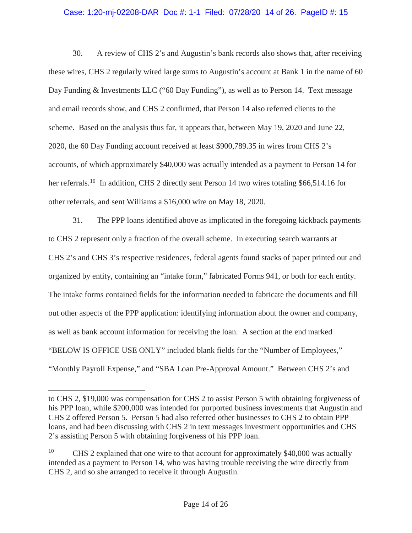## Case: 1:20-mj-02208-DAR Doc #: 1-1 Filed: 07/28/20 14 of 26. PageID #: 15

30. A review of CHS 2's and Augustin's bank records also shows that, after receiving these wires, CHS 2 regularly wired large sums to Augustin's account at Bank 1 in the name of 60 Day Funding & Investments LLC ("60 Day Funding"), as well as to Person 14. Text message and email records show, and CHS 2 confirmed, that Person 14 also referred clients to the scheme. Based on the analysis thus far, it appears that, between May 19, 2020 and June 22, 2020, the 60 Day Funding account received at least \$900,789.35 in wires from CHS 2's accounts, of which approximately \$40,000 was actually intended as a payment to Person 14 for her referrals.<sup>10</sup> In addition, CHS 2 directly sent Person 14 two wires totaling \$66,514.16 for other referrals, and sent Williams a \$16,000 wire on May 18, 2020.

31. The PPP loans identified above as implicated in the foregoing kickback payments to CHS 2 represent only a fraction of the overall scheme. In executing search warrants at CHS 2's and CHS 3's respective residences, federal agents found stacks of paper printed out and organized by entity, containing an "intake form," fabricated Forms 941, or both for each entity. The intake forms contained fields for the information needed to fabricate the documents and fill out other aspects of the PPP application: identifying information about the owner and company, as well as bank account information for receiving the loan. A section at the end marked "BELOW IS OFFICE USE ONLY" included blank fields for the "Number of Employees," "Monthly Payroll Expense," and "SBA Loan Pre-Approval Amount." Between CHS 2's and

to CHS 2, \$19,000 was compensation for CHS 2 to assist Person 5 with obtaining forgiveness of his PPP loan, while \$200,000 was intended for purported business investments that Augustin and CHS 2 offered Person 5. Person 5 had also referred other businesses to CHS 2 to obtain PPP loans, and had been discussing with CHS 2 in text messages investment opportunities and CHS 2's assisting Person 5 with obtaining forgiveness of his PPP loan.

<sup>&</sup>lt;sup>10</sup> CHS 2 explained that one wire to that account for approximately \$40,000 was actually intended as a payment to Person 14, who was having trouble receiving the wire directly from CHS 2, and so she arranged to receive it through Augustin.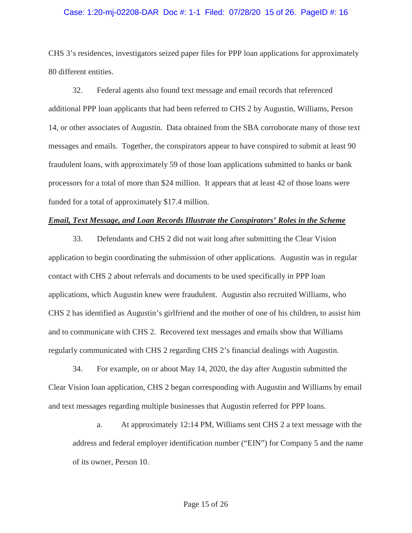#### Case: 1:20-mj-02208-DAR Doc #: 1-1 Filed: 07/28/20 15 of 26. PageID #: 16

CHS 3's residences, investigators seized paper files for PPP loan applications for approximately 80 different entities.

32. Federal agents also found text message and email records that referenced additional PPP loan applicants that had been referred to CHS 2 by Augustin, Williams, Person 14, or other associates of Augustin. Data obtained from the SBA corroborate many of those text messages and emails. Together, the conspirators appear to have conspired to submit at least 90 fraudulent loans, with approximately 59 of those loan applications submitted to banks or bank processors for a total of more than \$24 million. It appears that at least 42 of those loans were funded for a total of approximately \$17.4 million.

# *Email, Text Message, and Loan Records Illustrate the Conspirators' Roles in the Scheme*

33. Defendants and CHS 2 did not wait long after submitting the Clear Vision application to begin coordinating the submission of other applications. Augustin was in regular contact with CHS 2 about referrals and documents to be used specifically in PPP loan applications, which Augustin knew were fraudulent. Augustin also recruited Williams, who CHS 2 has identified as Augustin's girlfriend and the mother of one of his children, to assist him and to communicate with CHS 2. Recovered text messages and emails show that Williams regularly communicated with CHS 2 regarding CHS 2's financial dealings with Augustin.

34. For example, on or about May 14, 2020, the day after Augustin submitted the Clear Vision loan application, CHS 2 began corresponding with Augustin and Williams by email and text messages regarding multiple businesses that Augustin referred for PPP loans.

a. At approximately 12:14 PM, Williams sent CHS 2 a text message with the address and federal employer identification number ("EIN") for Company 5 and the name of its owner, Person 10.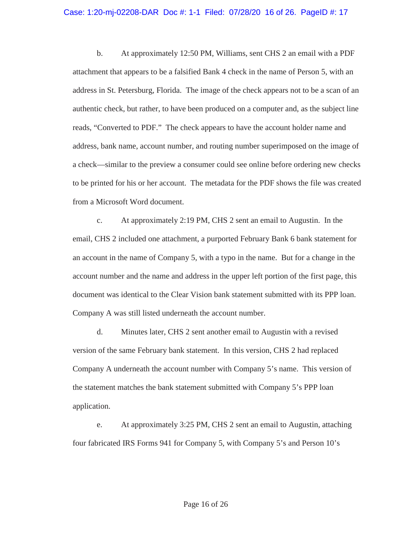#### Case: 1:20-mj-02208-DAR Doc #: 1-1 Filed: 07/28/20 16 of 26. PageID #: 17

b. At approximately 12:50 PM, Williams, sent CHS 2 an email with a PDF attachment that appears to be a falsified Bank 4 check in the name of Person 5, with an address in St. Petersburg, Florida. The image of the check appears not to be a scan of an authentic check, but rather, to have been produced on a computer and, as the subject line reads, "Converted to PDF." The check appears to have the account holder name and address, bank name, account number, and routing number superimposed on the image of a check—similar to the preview a consumer could see online before ordering new checks to be printed for his or her account. The metadata for the PDF shows the file was created from a Microsoft Word document.

c. At approximately 2:19 PM, CHS 2 sent an email to Augustin. In the email, CHS 2 included one attachment, a purported February Bank 6 bank statement for an account in the name of Company 5, with a typo in the name. But for a change in the account number and the name and address in the upper left portion of the first page, this document was identical to the Clear Vision bank statement submitted with its PPP loan. Company A was still listed underneath the account number.

d. Minutes later, CHS 2 sent another email to Augustin with a revised version of the same February bank statement. In this version, CHS 2 had replaced Company A underneath the account number with Company 5's name. This version of the statement matches the bank statement submitted with Company 5's PPP loan application.

e. At approximately 3:25 PM, CHS 2 sent an email to Augustin, attaching four fabricated IRS Forms 941 for Company 5, with Company 5's and Person 10's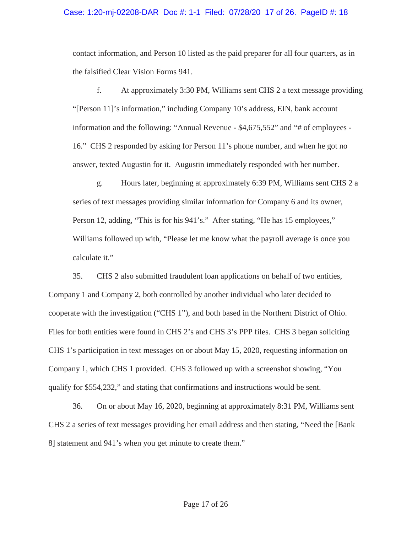### Case: 1:20-mj-02208-DAR Doc #: 1-1 Filed: 07/28/20 17 of 26. PageID #: 18

contact information, and Person 10 listed as the paid preparer for all four quarters, as in the falsified Clear Vision Forms 941.

f. At approximately 3:30 PM, Williams sent CHS 2 a text message providing "[Person 11]'s information," including Company 10's address, EIN, bank account information and the following: "Annual Revenue - \$4,675,552" and "# of employees - 16." CHS 2 responded by asking for Person 11's phone number, and when he got no answer, texted Augustin for it. Augustin immediately responded with her number.

g. Hours later, beginning at approximately 6:39 PM, Williams sent CHS 2 a series of text messages providing similar information for Company 6 and its owner, Person 12, adding, "This is for his 941's." After stating, "He has 15 employees," Williams followed up with, "Please let me know what the payroll average is once you calculate it."

35. CHS 2 also submitted fraudulent loan applications on behalf of two entities, Company 1 and Company 2, both controlled by another individual who later decided to cooperate with the investigation ("CHS 1"), and both based in the Northern District of Ohio. Files for both entities were found in CHS 2's and CHS 3's PPP files. CHS 3 began soliciting CHS 1's participation in text messages on or about May 15, 2020, requesting information on Company 1, which CHS 1 provided. CHS 3 followed up with a screenshot showing, "You qualify for \$554,232," and stating that confirmations and instructions would be sent.

36. On or about May 16, 2020, beginning at approximately 8:31 PM, Williams sent CHS 2 a series of text messages providing her email address and then stating, "Need the [Bank 8] statement and 941's when you get minute to create them."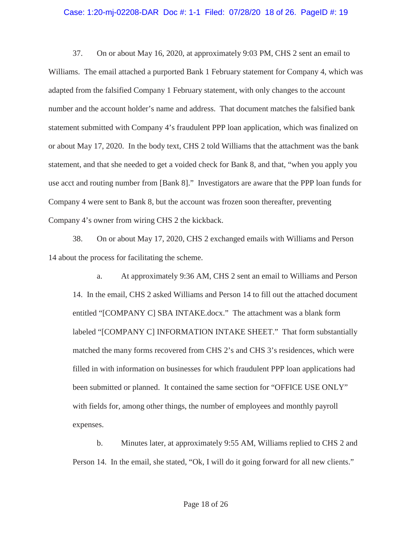#### Case: 1:20-mj-02208-DAR Doc #: 1-1 Filed: 07/28/20 18 of 26. PageID #: 19

37. On or about May 16, 2020, at approximately 9:03 PM, CHS 2 sent an email to Williams. The email attached a purported Bank 1 February statement for Company 4, which was adapted from the falsified Company 1 February statement, with only changes to the account number and the account holder's name and address. That document matches the falsified bank statement submitted with Company 4's fraudulent PPP loan application, which was finalized on or about May 17, 2020. In the body text, CHS 2 told Williams that the attachment was the bank statement, and that she needed to get a voided check for Bank 8, and that, "when you apply you use acct and routing number from [Bank 8]." Investigators are aware that the PPP loan funds for Company 4 were sent to Bank 8, but the account was frozen soon thereafter, preventing Company 4's owner from wiring CHS 2 the kickback.

38. On or about May 17, 2020, CHS 2 exchanged emails with Williams and Person 14 about the process for facilitating the scheme.

a. At approximately 9:36 AM, CHS 2 sent an email to Williams and Person 14. In the email, CHS 2 asked Williams and Person 14 to fill out the attached document entitled "[COMPANY C] SBA INTAKE.docx." The attachment was a blank form labeled "[COMPANY C] INFORMATION INTAKE SHEET." That form substantially matched the many forms recovered from CHS 2's and CHS 3's residences, which were filled in with information on businesses for which fraudulent PPP loan applications had been submitted or planned. It contained the same section for "OFFICE USE ONLY" with fields for, among other things, the number of employees and monthly payroll expenses.

b. Minutes later, at approximately 9:55 AM, Williams replied to CHS 2 and Person 14. In the email, she stated, "Ok, I will do it going forward for all new clients."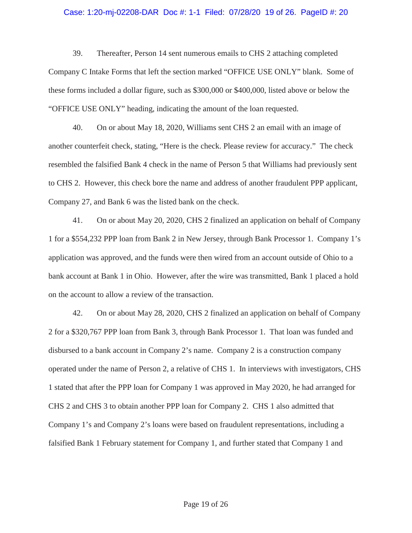#### Case: 1:20-mj-02208-DAR Doc #: 1-1 Filed: 07/28/20 19 of 26. PageID #: 20

39. Thereafter, Person 14 sent numerous emails to CHS 2 attaching completed Company C Intake Forms that left the section marked "OFFICE USE ONLY" blank. Some of these forms included a dollar figure, such as \$300,000 or \$400,000, listed above or below the "OFFICE USE ONLY" heading, indicating the amount of the loan requested.

40. On or about May 18, 2020, Williams sent CHS 2 an email with an image of another counterfeit check, stating, "Here is the check. Please review for accuracy." The check resembled the falsified Bank 4 check in the name of Person 5 that Williams had previously sent to CHS 2. However, this check bore the name and address of another fraudulent PPP applicant, Company 27, and Bank 6 was the listed bank on the check.

41. On or about May 20, 2020, CHS 2 finalized an application on behalf of Company 1 for a \$554,232 PPP loan from Bank 2 in New Jersey, through Bank Processor 1. Company 1's application was approved, and the funds were then wired from an account outside of Ohio to a bank account at Bank 1 in Ohio. However, after the wire was transmitted, Bank 1 placed a hold on the account to allow a review of the transaction.

42. On or about May 28, 2020, CHS 2 finalized an application on behalf of Company 2 for a \$320,767 PPP loan from Bank 3, through Bank Processor 1. That loan was funded and disbursed to a bank account in Company 2's name. Company 2 is a construction company operated under the name of Person 2, a relative of CHS 1. In interviews with investigators, CHS 1 stated that after the PPP loan for Company 1 was approved in May 2020, he had arranged for CHS 2 and CHS 3 to obtain another PPP loan for Company 2. CHS 1 also admitted that Company 1's and Company 2's loans were based on fraudulent representations, including a falsified Bank 1 February statement for Company 1, and further stated that Company 1 and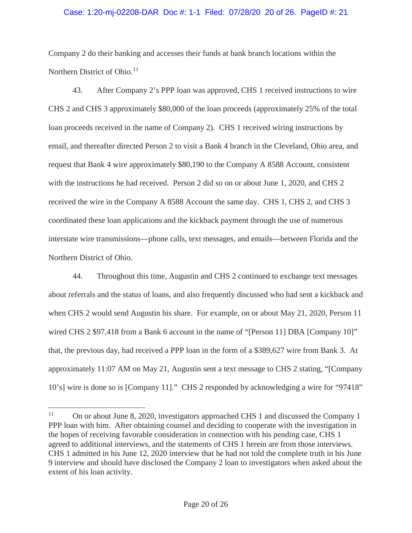# Case: 1:20-mj-02208-DAR Doc #: 1-1 Filed: 07/28/20 20 of 26. PageID #: 21

Company 2 do their banking and accesses their funds at bank branch locations within the Northern District of Ohio. $11$ 

43. After Company 2's PPP loan was approved, CHS 1 received instructions to wire CHS 2 and CHS 3 approximately \$80,000 of the loan proceeds (approximately 25% of the total loan proceeds received in the name of Company 2). CHS 1 received wiring instructions by email, and thereafter directed Person 2 to visit a Bank 4 branch in the Cleveland, Ohio area, and request that Bank 4 wire approximately \$80,190 to the Company A 8588 Account, consistent with the instructions he had received. Person 2 did so on or about June 1, 2020, and CHS 2 received the wire in the Company A 8588 Account the same day. CHS 1, CHS 2, and CHS 3 coordinated these loan applications and the kickback payment through the use of numerous interstate wire transmissions—phone calls, text messages, and emails—between Florida and the Northern District of Ohio.

44. Throughout this time, Augustin and CHS 2 continued to exchange text messages about referrals and the status of loans, and also frequently discussed who had sent a kickback and when CHS 2 would send Augustin his share. For example, on or about May 21, 2020, Person 11 wired CHS 2 \$97,418 from a Bank 6 account in the name of "[Person 11] DBA [Company 10]" that, the previous day, had received a PPP loan in the form of a \$389,627 wire from Bank 3. At approximately 11:07 AM on May 21, Augustin sent a text message to CHS 2 stating, "[Company 10's] wire is done so is [Company 11]." CHS 2 responded by acknowledging a wire for "97418"

<sup>&</sup>lt;sup>11</sup> On or about June 8, 2020, investigators approached CHS 1 and discussed the Company 1 PPP loan with him. After obtaining counsel and deciding to cooperate with the investigation in the hopes of receiving favorable consideration in connection with his pending case, CHS 1 agreed to additional interviews, and the statements of CHS 1 herein are from those interviews. CHS 1 admitted in his June 12, 2020 interview that he had not told the complete truth in his June 9 interview and should have disclosed the Company 2 loan to investigators when asked about the extent of his loan activity.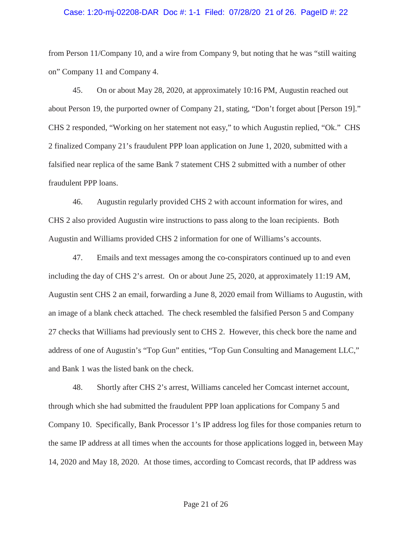#### Case: 1:20-mj-02208-DAR Doc #: 1-1 Filed: 07/28/20 21 of 26. PageID #: 22

from Person 11/Company 10, and a wire from Company 9, but noting that he was "still waiting on" Company 11 and Company 4.

45. On or about May 28, 2020, at approximately 10:16 PM, Augustin reached out about Person 19, the purported owner of Company 21, stating, "Don't forget about [Person 19]." CHS 2 responded, "Working on her statement not easy," to which Augustin replied, "Ok." CHS 2 finalized Company 21's fraudulent PPP loan application on June 1, 2020, submitted with a falsified near replica of the same Bank 7 statement CHS 2 submitted with a number of other fraudulent PPP loans.

46. Augustin regularly provided CHS 2 with account information for wires, and CHS 2 also provided Augustin wire instructions to pass along to the loan recipients. Both Augustin and Williams provided CHS 2 information for one of Williams's accounts.

47. Emails and text messages among the co-conspirators continued up to and even including the day of CHS 2's arrest. On or about June 25, 2020, at approximately 11:19 AM, Augustin sent CHS 2 an email, forwarding a June 8, 2020 email from Williams to Augustin, with an image of a blank check attached. The check resembled the falsified Person 5 and Company 27 checks that Williams had previously sent to CHS 2. However, this check bore the name and address of one of Augustin's "Top Gun" entities, "Top Gun Consulting and Management LLC," and Bank 1 was the listed bank on the check.

48. Shortly after CHS 2's arrest, Williams canceled her Comcast internet account, through which she had submitted the fraudulent PPP loan applications for Company 5 and Company 10. Specifically, Bank Processor 1's IP address log files for those companies return to the same IP address at all times when the accounts for those applications logged in, between May 14, 2020 and May 18, 2020. At those times, according to Comcast records, that IP address was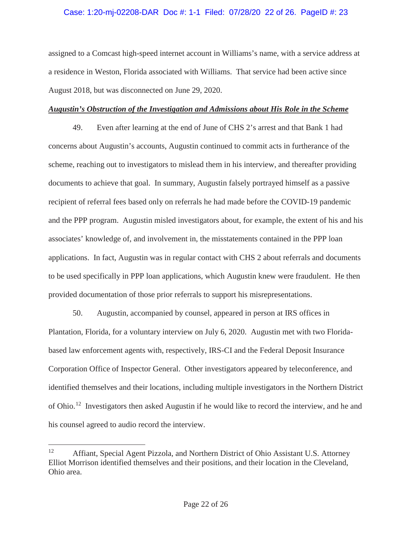## Case: 1:20-mj-02208-DAR Doc #: 1-1 Filed: 07/28/20 22 of 26. PageID #: 23

assigned to a Comcast high-speed internet account in Williams's name, with a service address at a residence in Weston, Florida associated with Williams. That service had been active since August 2018, but was disconnected on June 29, 2020.

# *Augustin's Obstruction of the Investigation and Admissions about His Role in the Scheme*

49. Even after learning at the end of June of CHS 2's arrest and that Bank 1 had concerns about Augustin's accounts, Augustin continued to commit acts in furtherance of the scheme, reaching out to investigators to mislead them in his interview, and thereafter providing documents to achieve that goal. In summary, Augustin falsely portrayed himself as a passive recipient of referral fees based only on referrals he had made before the COVID-19 pandemic and the PPP program. Augustin misled investigators about, for example, the extent of his and his associates' knowledge of, and involvement in, the misstatements contained in the PPP loan applications. In fact, Augustin was in regular contact with CHS 2 about referrals and documents to be used specifically in PPP loan applications, which Augustin knew were fraudulent. He then provided documentation of those prior referrals to support his misrepresentations.

50. Augustin, accompanied by counsel, appeared in person at IRS offices in Plantation, Florida, for a voluntary interview on July 6, 2020. Augustin met with two Floridabased law enforcement agents with, respectively, IRS-CI and the Federal Deposit Insurance Corporation Office of Inspector General. Other investigators appeared by teleconference, and identified themselves and their locations, including multiple investigators in the Northern District of Ohio.<sup>12</sup> Investigators then asked Augustin if he would like to record the interview, and he and his counsel agreed to audio record the interview.

<sup>&</sup>lt;sup>12</sup> Affiant, Special Agent Pizzola, and Northern District of Ohio Assistant U.S. Attorney Elliot Morrison identified themselves and their positions, and their location in the Cleveland, Ohio area.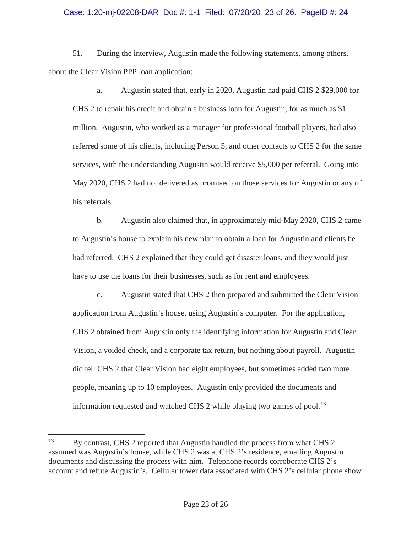## Case: 1:20-mj-02208-DAR Doc #: 1-1 Filed: 07/28/20 23 of 26. PageID #: 24

51. During the interview, Augustin made the following statements, among others, about the Clear Vision PPP loan application:

a. Augustin stated that, early in 2020, Augustin had paid CHS 2 \$29,000 for CHS 2 to repair his credit and obtain a business loan for Augustin, for as much as \$1 million. Augustin, who worked as a manager for professional football players, had also referred some of his clients, including Person 5, and other contacts to CHS 2 for the same services, with the understanding Augustin would receive \$5,000 per referral. Going into May 2020, CHS 2 had not delivered as promised on those services for Augustin or any of his referrals.

b. Augustin also claimed that, in approximately mid-May 2020, CHS 2 came to Augustin's house to explain his new plan to obtain a loan for Augustin and clients he had referred. CHS 2 explained that they could get disaster loans, and they would just have to use the loans for their businesses, such as for rent and employees.

c. Augustin stated that CHS 2 then prepared and submitted the Clear Vision application from Augustin's house, using Augustin's computer. For the application, CHS 2 obtained from Augustin only the identifying information for Augustin and Clear Vision, a voided check, and a corporate tax return, but nothing about payroll. Augustin did tell CHS 2 that Clear Vision had eight employees, but sometimes added two more people, meaning up to 10 employees. Augustin only provided the documents and information requested and watched CHS 2 while playing two games of pool.<sup>13</sup>

<sup>&</sup>lt;sup>13</sup> By contrast, CHS 2 reported that Augustin handled the process from what CHS 2 assumed was Augustin's house, while CHS 2 was at CHS 2's residence, emailing Augustin documents and discussing the process with him. Telephone records corroborate CHS 2's account and refute Augustin's. Cellular tower data associated with CHS 2's cellular phone show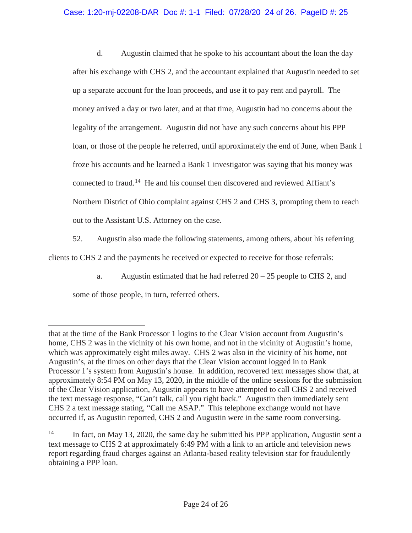# Case: 1:20-mj-02208-DAR Doc #: 1-1 Filed: 07/28/20 24 of 26. PageID #: 25

d. Augustin claimed that he spoke to his accountant about the loan the day after his exchange with CHS 2, and the accountant explained that Augustin needed to set up a separate account for the loan proceeds, and use it to pay rent and payroll. The money arrived a day or two later, and at that time, Augustin had no concerns about the legality of the arrangement. Augustin did not have any such concerns about his PPP loan, or those of the people he referred, until approximately the end of June, when Bank 1 froze his accounts and he learned a Bank 1 investigator was saying that his money was connected to fraud.<sup>14</sup> He and his counsel then discovered and reviewed Affiant's Northern District of Ohio complaint against CHS 2 and CHS 3, prompting them to reach out to the Assistant U.S. Attorney on the case.

52. Augustin also made the following statements, among others, about his referring clients to CHS 2 and the payments he received or expected to receive for those referrals:

a. Augustin estimated that he had referred  $20 - 25$  people to CHS 2, and some of those people, in turn, referred others.

that at the time of the Bank Processor 1 logins to the Clear Vision account from Augustin's home, CHS 2 was in the vicinity of his own home, and not in the vicinity of Augustin's home, which was approximately eight miles away. CHS 2 was also in the vicinity of his home, not Augustin's, at the times on other days that the Clear Vision account logged in to Bank Processor 1's system from Augustin's house. In addition, recovered text messages show that, at approximately 8:54 PM on May 13, 2020, in the middle of the online sessions for the submission of the Clear Vision application, Augustin appears to have attempted to call CHS 2 and received the text message response, "Can't talk, call you right back." Augustin then immediately sent CHS 2 a text message stating, "Call me ASAP." This telephone exchange would not have occurred if, as Augustin reported, CHS 2 and Augustin were in the same room conversing.

<sup>&</sup>lt;sup>14</sup> In fact, on May 13, 2020, the same day he submitted his PPP application, Augustin sent a text message to CHS 2 at approximately 6:49 PM with a link to an article and television news report regarding fraud charges against an Atlanta-based reality television star for fraudulently obtaining a PPP loan.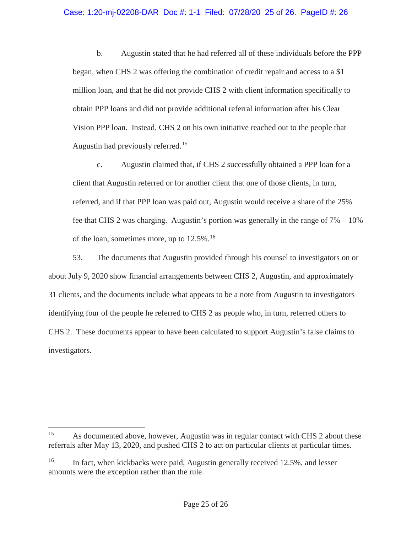## Case: 1:20-mj-02208-DAR Doc #: 1-1 Filed: 07/28/20 25 of 26. PageID #: 26

b. Augustin stated that he had referred all of these individuals before the PPP began, when CHS 2 was offering the combination of credit repair and access to a \$1 million loan, and that he did not provide CHS 2 with client information specifically to obtain PPP loans and did not provide additional referral information after his Clear Vision PPP loan. Instead, CHS 2 on his own initiative reached out to the people that Augustin had previously referred.<sup>15</sup>

c. Augustin claimed that, if CHS 2 successfully obtained a PPP loan for a client that Augustin referred or for another client that one of those clients, in turn, referred, and if that PPP loan was paid out, Augustin would receive a share of the 25% fee that CHS 2 was charging. Augustin's portion was generally in the range of 7% – 10% of the loan, sometimes more, up to  $12.5\%$ .<sup>16</sup>

53. The documents that Augustin provided through his counsel to investigators on or about July 9, 2020 show financial arrangements between CHS 2, Augustin, and approximately 31 clients, and the documents include what appears to be a note from Augustin to investigators identifying four of the people he referred to CHS 2 as people who, in turn, referred others to CHS 2. These documents appear to have been calculated to support Augustin's false claims to investigators.

<sup>&</sup>lt;sup>15</sup> As documented above, however, Augustin was in regular contact with CHS 2 about these referrals after May 13, 2020, and pushed CHS 2 to act on particular clients at particular times.

<sup>&</sup>lt;sup>16</sup> In fact, when kickbacks were paid, Augustin generally received 12.5%, and lesser amounts were the exception rather than the rule.